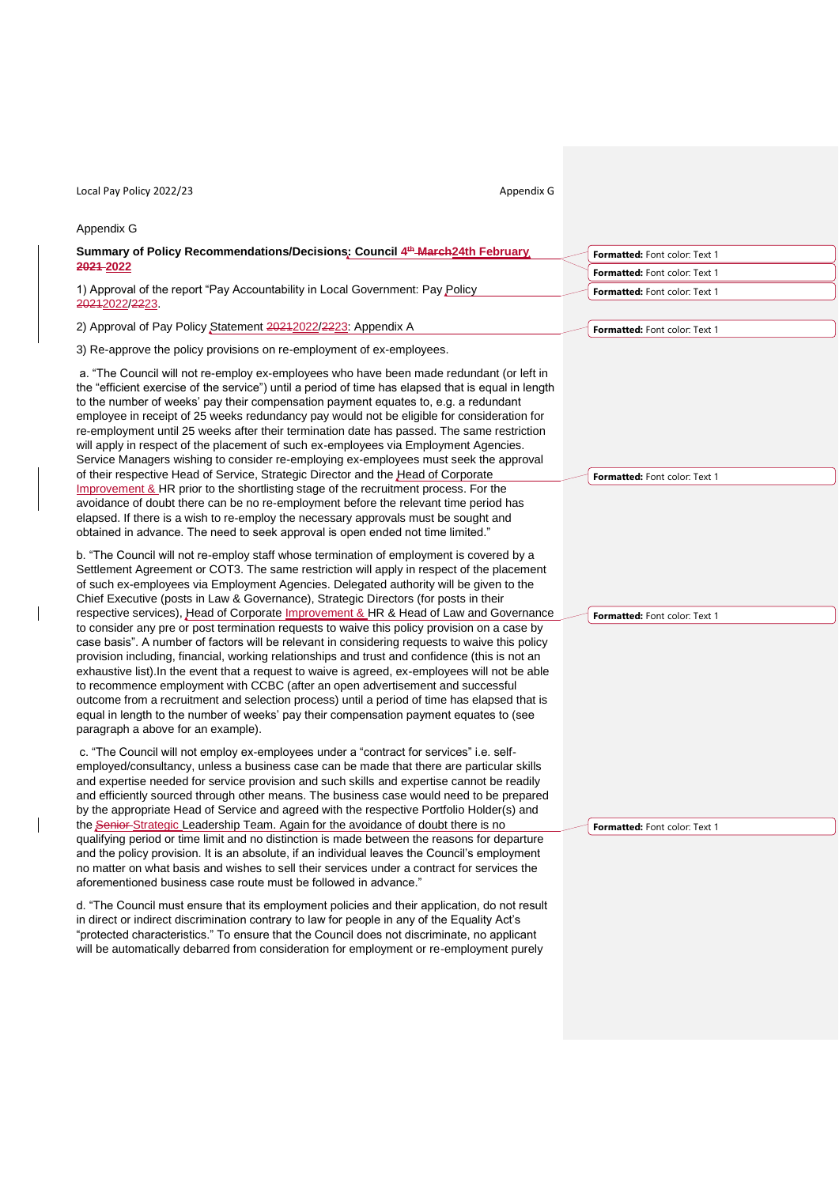| Local Pay Policy 2022/23<br>Appendix G                                                                                                                                                                                                                                                                                                                                                                                                                                                                                                                                                                                                                                                                                                                                                                                                                                                                                                                                                                                                                                                                                                                                                                                                                                                                                            |                                      |
|-----------------------------------------------------------------------------------------------------------------------------------------------------------------------------------------------------------------------------------------------------------------------------------------------------------------------------------------------------------------------------------------------------------------------------------------------------------------------------------------------------------------------------------------------------------------------------------------------------------------------------------------------------------------------------------------------------------------------------------------------------------------------------------------------------------------------------------------------------------------------------------------------------------------------------------------------------------------------------------------------------------------------------------------------------------------------------------------------------------------------------------------------------------------------------------------------------------------------------------------------------------------------------------------------------------------------------------|--------------------------------------|
| Appendix G                                                                                                                                                                                                                                                                                                                                                                                                                                                                                                                                                                                                                                                                                                                                                                                                                                                                                                                                                                                                                                                                                                                                                                                                                                                                                                                        |                                      |
| Summary of Policy Recommendations/Decisions: Council 4th March24th February                                                                                                                                                                                                                                                                                                                                                                                                                                                                                                                                                                                                                                                                                                                                                                                                                                                                                                                                                                                                                                                                                                                                                                                                                                                       | Formatted: Font color: Text 1        |
| 2021-2022                                                                                                                                                                                                                                                                                                                                                                                                                                                                                                                                                                                                                                                                                                                                                                                                                                                                                                                                                                                                                                                                                                                                                                                                                                                                                                                         | Formatted: Font color: Text 1        |
| 1) Approval of the report "Pay Accountability in Local Government: Pay Policy<br>20212022/2223.                                                                                                                                                                                                                                                                                                                                                                                                                                                                                                                                                                                                                                                                                                                                                                                                                                                                                                                                                                                                                                                                                                                                                                                                                                   | Formatted: Font color: Text 1        |
| 2) Approval of Pay Policy Statement 20212022/2223: Appendix A                                                                                                                                                                                                                                                                                                                                                                                                                                                                                                                                                                                                                                                                                                                                                                                                                                                                                                                                                                                                                                                                                                                                                                                                                                                                     | Formatted: Font color: Text 1        |
| 3) Re-approve the policy provisions on re-employment of ex-employees.                                                                                                                                                                                                                                                                                                                                                                                                                                                                                                                                                                                                                                                                                                                                                                                                                                                                                                                                                                                                                                                                                                                                                                                                                                                             |                                      |
| a. "The Council will not re-employ ex-employees who have been made redundant (or left in<br>the "efficient exercise of the service") until a period of time has elapsed that is equal in length<br>to the number of weeks' pay their compensation payment equates to, e.g. a redundant<br>employee in receipt of 25 weeks redundancy pay would not be eligible for consideration for<br>re-employment until 25 weeks after their termination date has passed. The same restriction<br>will apply in respect of the placement of such ex-employees via Employment Agencies.<br>Service Managers wishing to consider re-employing ex-employees must seek the approval<br>of their respective Head of Service, Strategic Director and the Head of Corporate<br>Improvement & HR prior to the shortlisting stage of the recruitment process. For the<br>avoidance of doubt there can be no re-employment before the relevant time period has<br>elapsed. If there is a wish to re-employ the necessary approvals must be sought and<br>obtained in advance. The need to seek approval is open ended not time limited."                                                                                                                                                                                                                | Formatted: Font color: Text 1        |
| b. "The Council will not re-employ staff whose termination of employment is covered by a<br>Settlement Agreement or COT3. The same restriction will apply in respect of the placement<br>of such ex-employees via Employment Agencies. Delegated authority will be given to the<br>Chief Executive (posts in Law & Governance), Strategic Directors (for posts in their<br>respective services), Head of Corporate Improvement & HR & Head of Law and Governance<br>to consider any pre or post termination requests to waive this policy provision on a case by<br>case basis". A number of factors will be relevant in considering requests to waive this policy<br>provision including, financial, working relationships and trust and confidence (this is not an<br>exhaustive list). In the event that a request to waive is agreed, ex-employees will not be able<br>to recommence employment with CCBC (after an open advertisement and successful<br>outcome from a recruitment and selection process) until a period of time has elapsed that is<br>equal in length to the number of weeks' pay their compensation payment equates to (see<br>paragraph a above for an example).                                                                                                                                         | Formatted: Font color: Text 1        |
| c. "The Council will not employ ex-employees under a "contract for services" i.e. self-<br>employed/consultancy, unless a business case can be made that there are particular skills<br>and expertise needed for service provision and such skills and expertise cannot be readily<br>and efficiently sourced through other means. The business case would need to be prepared<br>by the appropriate Head of Service and agreed with the respective Portfolio Holder(s) and<br>the Senior Strategic Leadership Team. Again for the avoidance of doubt there is no<br>qualifying period or time limit and no distinction is made between the reasons for departure<br>and the policy provision. It is an absolute, if an individual leaves the Council's employment<br>no matter on what basis and wishes to sell their services under a contract for services the<br>aforementioned business case route must be followed in advance."<br>d. "The Council must ensure that its employment policies and their application, do not result<br>in direct or indirect discrimination contrary to law for people in any of the Equality Act's<br>"protected characteristics." To ensure that the Council does not discriminate, no applicant<br>will be automatically debarred from consideration for employment or re-employment purely | <b>Formatted:</b> Font color: Text 1 |

 $\begin{array}{c} \hline \end{array}$ 

 $\begin{array}{c} \hline \end{array}$